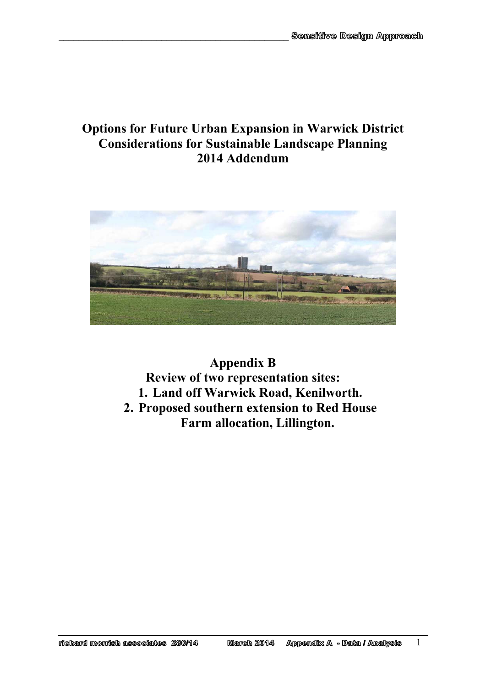# **Options for Future Urban Expansion in Warwick District Considerations for Sustainable Landscape Planning 2014 Addendum**

 $\mathcal{L}_\text{max}$  and the contract of the contract of the contract of the contract of the contract of the contract of the contract of the contract of the contract of the contract of the contract of the contract of the contrac



## **Appendix B Review of two representation sites: 1. Land off Warwick Road, Kenilworth. 2. Proposed southern extension to Red House Farm allocation, Lillington.**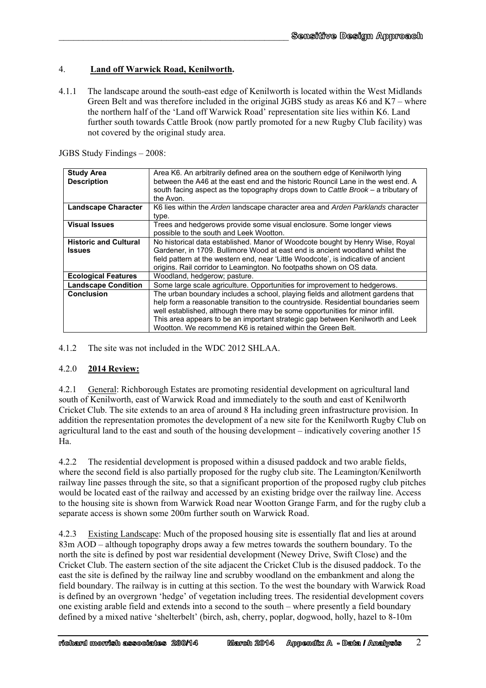## 4. **Land off Warwick Road, Kenilworth.**

 $\mathcal{L}_\text{max}$  and the contract of the contract of the contract of the contract of the contract of the contract of the contract of the contract of the contract of the contract of the contract of the contract of the contrac

4.1.1 The landscape around the south-east edge of Kenilworth is located within the West Midlands Green Belt and was therefore included in the original JGBS study as areas K6 and K7 – where the northern half of the 'Land off Warwick Road' representation site lies within K6. Land further south towards Cattle Brook (now partly promoted for a new Rugby Club facility) was not covered by the original study area.

JGBS Study Findings – 2008:

| <b>Study Area</b>            | Area K6. An arbitrarily defined area on the southern edge of Kenilworth lying      |
|------------------------------|------------------------------------------------------------------------------------|
| <b>Description</b>           | between the A46 at the east end and the historic Rouncil Lane in the west end. A   |
|                              | south facing aspect as the topography drops down to Cattle Brook - a tributary of  |
|                              | the Avon.                                                                          |
| <b>Landscape Character</b>   | K6 lies within the Arden landscape character area and Arden Parklands character    |
|                              | type.                                                                              |
| <b>Visual Issues</b>         | Trees and hedgerows provide some visual enclosure. Some longer views               |
|                              | possible to the south and Leek Wootton.                                            |
| <b>Historic and Cultural</b> | No historical data established. Manor of Woodcote bought by Henry Wise, Royal      |
| <b>Issues</b>                | Gardener, in 1709. Bullimore Wood at east end is ancient woodland whilst the       |
|                              | field pattern at the western end, near 'Little Woodcote', is indicative of ancient |
|                              | origins. Rail corridor to Leamington. No footpaths shown on OS data.               |
| <b>Ecological Features</b>   | Woodland, hedgerow; pasture.                                                       |
| <b>Landscape Condition</b>   | Some large scale agriculture. Opportunities for improvement to hedgerows.          |
| <b>Conclusion</b>            | The urban boundary includes a school, playing fields and allotment gardens that    |
|                              | help form a reasonable transition to the countryside. Residential boundaries seem  |
|                              | well established, although there may be some opportunities for minor infill.       |
|                              | This area appears to be an important strategic gap between Kenilworth and Leek     |
|                              | Wootton. We recommend K6 is retained within the Green Belt.                        |

4.1.2 The site was not included in the WDC 2012 SHLAA.

#### 4.2.0 **2014 Review:**

4.2.1 General: Richborough Estates are promoting residential development on agricultural land south of Kenilworth, east of Warwick Road and immediately to the south and east of Kenilworth Cricket Club. The site extends to an area of around 8 Ha including green infrastructure provision. In addition the representation promotes the development of a new site for the Kenilworth Rugby Club on agricultural land to the east and south of the housing development – indicatively covering another 15 Ha.

4.2.2 The residential development is proposed within a disused paddock and two arable fields, where the second field is also partially proposed for the rugby club site. The Leamington/Kenilworth railway line passes through the site, so that a significant proportion of the proposed rugby club pitches would be located east of the railway and accessed by an existing bridge over the railway line. Access to the housing site is shown from Warwick Road near Wootton Grange Farm, and for the rugby club a separate access is shown some 200m further south on Warwick Road.

4.2.3 Existing Landscape: Much of the proposed housing site is essentially flat and lies at around 83m AOD – although topography drops away a few metres towards the southern boundary. To the north the site is defined by post war residential development (Newey Drive, Swift Close) and the Cricket Club. The eastern section of the site adjacent the Cricket Club is the disused paddock. To the east the site is defined by the railway line and scrubby woodland on the embankment and along the field boundary. The railway is in cutting at this section. To the west the boundary with Warwick Road is defined by an overgrown 'hedge' of vegetation including trees. The residential development covers one existing arable field and extends into a second to the south – where presently a field boundary defined by a mixed native 'shelterbelt' (birch, ash, cherry, poplar, dogwood, holly, hazel to 8-10m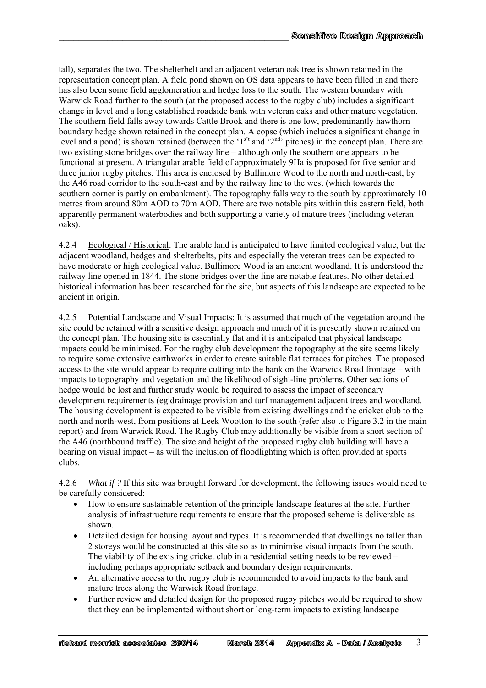tall), separates the two. The shelterbelt and an adjacent veteran oak tree is shown retained in the representation concept plan. A field pond shown on OS data appears to have been filled in and there has also been some field agglomeration and hedge loss to the south. The western boundary with Warwick Road further to the south (at the proposed access to the rugby club) includes a significant change in level and a long established roadside bank with veteran oaks and other mature vegetation. The southern field falls away towards Cattle Brook and there is one low, predominantly hawthorn boundary hedge shown retained in the concept plan. A copse (which includes a significant change in level and a pond) is shown retained (between the '1<sup>s't</sup> and '2<sup>nd</sup>' pitches) in the concept plan. There are two existing stone bridges over the railway line – although only the southern one appears to be functional at present. A triangular arable field of approximately 9Ha is proposed for five senior and three junior rugby pitches. This area is enclosed by Bullimore Wood to the north and north-east, by the A46 road corridor to the south-east and by the railway line to the west (which towards the southern corner is partly on embankment). The topography falls way to the south by approximately 10 metres from around 80m AOD to 70m AOD. There are two notable pits within this eastern field, both apparently permanent waterbodies and both supporting a variety of mature trees (including veteran oaks).

 $\mathcal{L}_\text{max}$  and the contract of the contract of the contract of the contract of the contract of the contract of the contract of the contract of the contract of the contract of the contract of the contract of the contrac

4.2.4 Ecological / Historical: The arable land is anticipated to have limited ecological value, but the adjacent woodland, hedges and shelterbelts, pits and especially the veteran trees can be expected to have moderate or high ecological value. Bullimore Wood is an ancient woodland. It is understood the railway line opened in 1844. The stone bridges over the line are notable features. No other detailed historical information has been researched for the site, but aspects of this landscape are expected to be ancient in origin.

4.2.5 Potential Landscape and Visual Impacts: It is assumed that much of the vegetation around the site could be retained with a sensitive design approach and much of it is presently shown retained on the concept plan. The housing site is essentially flat and it is anticipated that physical landscape impacts could be minimised. For the rugby club development the topography at the site seems likely to require some extensive earthworks in order to create suitable flat terraces for pitches. The proposed access to the site would appear to require cutting into the bank on the Warwick Road frontage – with impacts to topography and vegetation and the likelihood of sight-line problems. Other sections of hedge would be lost and further study would be required to assess the impact of secondary development requirements (eg drainage provision and turf management adjacent trees and woodland. The housing development is expected to be visible from existing dwellings and the cricket club to the north and north-west, from positions at Leek Wootton to the south (refer also to Figure 3.2 in the main report) and from Warwick Road. The Rugby Club may additionally be visible from a short section of the A46 (northbound traffic). The size and height of the proposed rugby club building will have a bearing on visual impact – as will the inclusion of floodlighting which is often provided at sports clubs.

4.2.6 *What if ?* If this site was brought forward for development, the following issues would need to be carefully considered:

- How to ensure sustainable retention of the principle landscape features at the site. Further analysis of infrastructure requirements to ensure that the proposed scheme is deliverable as shown.
- Detailed design for housing layout and types. It is recommended that dwellings no taller than 2 storeys would be constructed at this site so as to minimise visual impacts from the south. The viability of the existing cricket club in a residential setting needs to be reviewed – including perhaps appropriate setback and boundary design requirements.
- An alternative access to the rugby club is recommended to avoid impacts to the bank and mature trees along the Warwick Road frontage.
- Further review and detailed design for the proposed rugby pitches would be required to show that they can be implemented without short or long-term impacts to existing landscape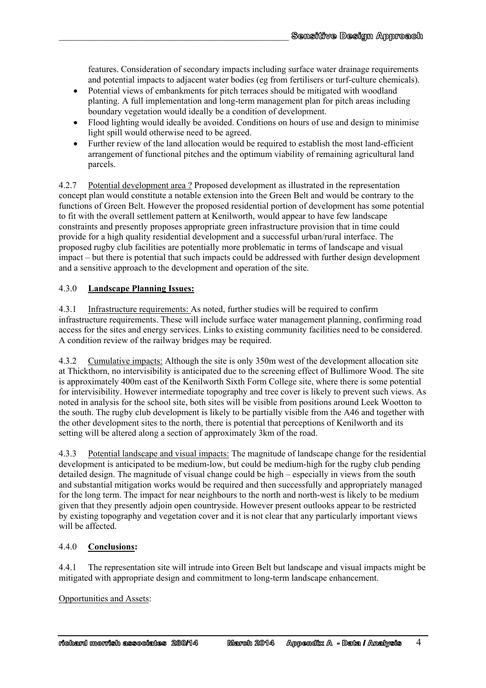features. Consideration of secondary impacts including surface water drainage requirements and potential impacts to adjacent water bodies (eg from fertilisers or turf-culture chemicals).

- Potential views of embankments for pitch terraces should be mitigated with woodland planting. A full implementation and long-term management plan for pitch areas including boundary vegetation would ideally be a condition of development.
- Flood lighting would ideally be avoided. Conditions on hours of use and design to minimise light spill would otherwise need to be agreed.
- Further review of the land allocation would be required to establish the most land-efficient arrangement of functional pitches and the optimum viability of remaining agricultural land parcels.

4.2.7 Potential development area ? Proposed development as illustrated in the representation concept plan would constitute a notable extension into the Green Belt and would be contrary to the functions of Green Belt. However the proposed residential portion of development has some potential to fit with the overall settlement pattern at Kenilworth, would appear to have few landscape constraints and presently proposes appropriate green infrastructure provision that in time could provide for a high quality residential development and a successful urban/rural interface. The proposed rugby club facilities are potentially more problematic in terms of landscape and visual impact – but there is potential that such impacts could be addressed with further design development and a sensitive approach to the development and operation of the site.

#### 4.3.0 **Landscape Planning Issues:**

4.3.1 Infrastructure requirements: As noted, further studies will be required to confirm infrastructure requirements. These will include surface water management planning, confirming road access for the sites and energy services. Links to existing community facilities need to be considered. A condition review of the railway bridges may be required.

4.3.2 Cumulative impacts: Although the site is only 350m west of the development allocation site at Thickthorn, no intervisibility is anticipated due to the screening effect of Bullimore Wood. The site is approximately 400m east of the Kenilworth Sixth Form College site, where there is some potential for intervisibility. However intermediate topography and tree cover is likely to prevent such views. As noted in analysis for the school site, both sites will be visible from positions around Leek Wootton to the south. The rugby club development is likely to be partially visible from the A46 and together with the other development sites to the north, there is potential that perceptions of Kenilworth and its setting will be altered along a section of approximately 3km of the road.

4.3.3 Potential landscape and visual impacts: The magnitude of landscape change for the residential development is anticipated to be medium-low, but could be medium-high for the rugby club pending detailed design. The magnitude of visual change could be high – especially in views from the south and substantial mitigation works would be required and then successfully and appropriately managed for the long term. The impact for near neighbours to the north and north-west is likely to be medium given that they presently adjoin open countryside. However present outlooks appear to be restricted by existing topography and vegetation cover and it is not clear that any particularly important views will be affected.

## 4.4.0 **Conclusions:**

4.4.1 The representation site will intrude into Green Belt but landscape and visual impacts might be mitigated with appropriate design and commitment to long-term landscape enhancement.

#### Opportunities and Assets: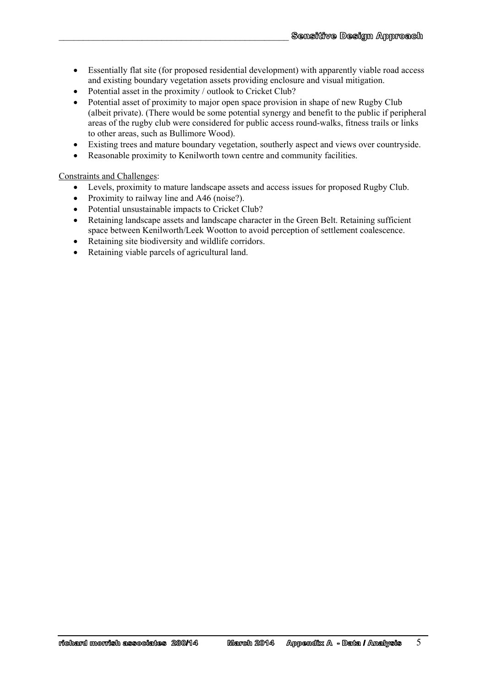- Essentially flat site (for proposed residential development) with apparently viable road access and existing boundary vegetation assets providing enclosure and visual mitigation.
- Potential asset in the proximity / outlook to Cricket Club?

 $\mathcal{L}_\text{max}$  and the contract of the contract of the contract of the contract of the contract of the contract of the contract of the contract of the contract of the contract of the contract of the contract of the contrac

- Potential asset of proximity to major open space provision in shape of new Rugby Club (albeit private). (There would be some potential synergy and benefit to the public if peripheral areas of the rugby club were considered for public access round-walks, fitness trails or links to other areas, such as Bullimore Wood).
- Existing trees and mature boundary vegetation, southerly aspect and views over countryside.
- Reasonable proximity to Kenilworth town centre and community facilities.

Constraints and Challenges:

- Levels, proximity to mature landscape assets and access issues for proposed Rugby Club.
- Proximity to railway line and A46 (noise?).
- Potential unsustainable impacts to Cricket Club?
- Retaining landscape assets and landscape character in the Green Belt. Retaining sufficient space between Kenilworth/Leek Wootton to avoid perception of settlement coalescence.
- Retaining site biodiversity and wildlife corridors.
- Retaining viable parcels of agricultural land.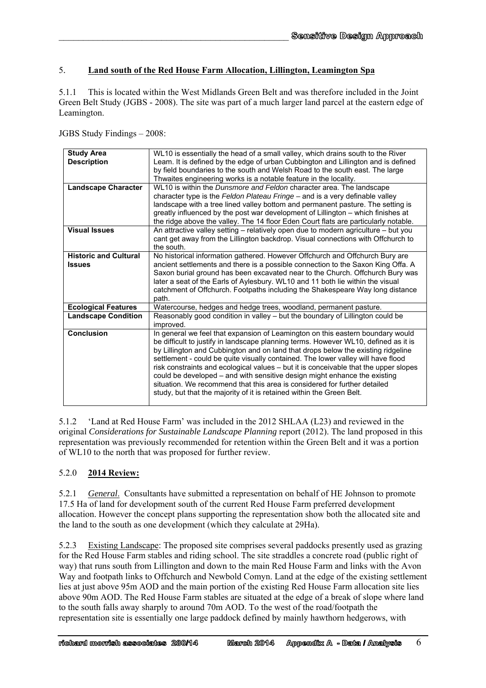## 5. **Land south of the Red House Farm Allocation, Lillington, Leamington Spa**

 $\mathcal{L}_\text{max}$  and the contract of the contract of the contract of the contract of the contract of the contract of the contract of the contract of the contract of the contract of the contract of the contract of the contrac

5.1.1 This is located within the West Midlands Green Belt and was therefore included in the Joint Green Belt Study (JGBS - 2008). The site was part of a much larger land parcel at the eastern edge of Leamington.

JGBS Study Findings – 2008:

| <b>Study Area</b><br><b>Description</b>       | WL10 is essentially the head of a small valley, which drains south to the River<br>Leam. It is defined by the edge of urban Cubbington and Lillington and is defined<br>by field boundaries to the south and Welsh Road to the south east. The large<br>Thwaites engineering works is a notable feature in the locality.                                                                                                                                                                                                                                                                                                                                                 |
|-----------------------------------------------|--------------------------------------------------------------------------------------------------------------------------------------------------------------------------------------------------------------------------------------------------------------------------------------------------------------------------------------------------------------------------------------------------------------------------------------------------------------------------------------------------------------------------------------------------------------------------------------------------------------------------------------------------------------------------|
| <b>Landscape Character</b>                    | WL10 is within the Dunsmore and Feldon character area. The landscape<br>character type is the Feldon Plateau Fringe - and is a very definable valley<br>landscape with a tree lined valley bottom and permanent pasture. The setting is<br>greatly influenced by the post war development of Lillington - which finishes at<br>the ridge above the valley. The 14 floor Eden Court flats are particularly notable.                                                                                                                                                                                                                                                       |
| <b>Visual Issues</b>                          | An attractive valley setting $-$ relatively open due to modern agriculture $-$ but you<br>cant get away from the Lillington backdrop. Visual connections with Offchurch to<br>the south.                                                                                                                                                                                                                                                                                                                                                                                                                                                                                 |
| <b>Historic and Cultural</b><br><b>Issues</b> | No historical information gathered. However Offchurch and Offchurch Bury are<br>ancient settlements and there is a possible connection to the Saxon King Offa. A<br>Saxon burial ground has been excavated near to the Church. Offchurch Bury was<br>later a seat of the Earls of Aylesbury. WL10 and 11 both lie within the visual<br>catchment of Offchurch. Footpaths including the Shakespeare Way long distance<br>path.                                                                                                                                                                                                                                            |
| <b>Ecological Features</b>                    | Watercourse, hedges and hedge trees, woodland, permanent pasture.                                                                                                                                                                                                                                                                                                                                                                                                                                                                                                                                                                                                        |
| <b>Landscape Condition</b>                    | Reasonably good condition in valley - but the boundary of Lillington could be<br>improved.                                                                                                                                                                                                                                                                                                                                                                                                                                                                                                                                                                               |
| <b>Conclusion</b>                             | In general we feel that expansion of Leamington on this eastern boundary would<br>be difficult to justify in landscape planning terms. However WL10, defined as it is<br>by Lillington and Cubbington and on land that drops below the existing ridgeline<br>settlement - could be quite visually contained. The lower valley will have flood<br>risk constraints and ecological values - but it is conceivable that the upper slopes<br>could be developed – and with sensitive design might enhance the existing<br>situation. We recommend that this area is considered for further detailed<br>study, but that the majority of it is retained within the Green Belt. |

5.1.2 'Land at Red House Farm' was included in the 2012 SHLAA (L23) and reviewed in the original *Considerations for Sustainable Landscape Planning* report (2012). The land proposed in this representation was previously recommended for retention within the Green Belt and it was a portion of WL10 to the north that was proposed for further review.

## 5.2.0 **2014 Review:**

5.2.1 *General*. Consultants have submitted a representation on behalf of HE Johnson to promote 17.5 Ha of land for development south of the current Red House Farm preferred development allocation. However the concept plans supporting the representation show both the allocated site and the land to the south as one development (which they calculate at 29Ha).

5.2.3 Existing Landscape: The proposed site comprises several paddocks presently used as grazing for the Red House Farm stables and riding school. The site straddles a concrete road (public right of way) that runs south from Lillington and down to the main Red House Farm and links with the Avon Way and footpath links to Offchurch and Newbold Comyn. Land at the edge of the existing settlement lies at just above 95m AOD and the main portion of the existing Red House Farm allocation site lies above 90m AOD. The Red House Farm stables are situated at the edge of a break of slope where land to the south falls away sharply to around 70m AOD. To the west of the road/footpath the representation site is essentially one large paddock defined by mainly hawthorn hedgerows, with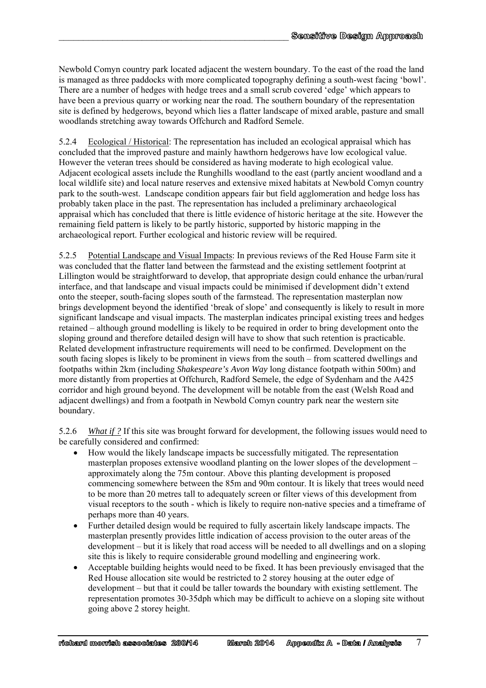Newbold Comyn country park located adjacent the western boundary. To the east of the road the land is managed as three paddocks with more complicated topography defining a south-west facing 'bowl'. There are a number of hedges with hedge trees and a small scrub covered 'edge' which appears to have been a previous quarry or working near the road. The southern boundary of the representation site is defined by hedgerows, beyond which lies a flatter landscape of mixed arable, pasture and small woodlands stretching away towards Offchurch and Radford Semele.

 $\mathcal{L}_\text{max}$  and the contract of the contract of the contract of the contract of the contract of the contract of the contract of the contract of the contract of the contract of the contract of the contract of the contrac

5.2.4 Ecological / Historical: The representation has included an ecological appraisal which has concluded that the improved pasture and mainly hawthorn hedgerows have low ecological value. However the veteran trees should be considered as having moderate to high ecological value. Adjacent ecological assets include the Runghills woodland to the east (partly ancient woodland and a local wildlife site) and local nature reserves and extensive mixed habitats at Newbold Comyn country park to the south-west. Landscape condition appears fair but field agglomeration and hedge loss has probably taken place in the past. The representation has included a preliminary archaeological appraisal which has concluded that there is little evidence of historic heritage at the site. However the remaining field pattern is likely to be partly historic, supported by historic mapping in the archaeological report. Further ecological and historic review will be required.

5.2.5 Potential Landscape and Visual Impacts: In previous reviews of the Red House Farm site it was concluded that the flatter land between the farmstead and the existing settlement footprint at Lillington would be straightforward to develop, that appropriate design could enhance the urban/rural interface, and that landscape and visual impacts could be minimised if development didn't extend onto the steeper, south-facing slopes south of the farmstead. The representation masterplan now brings development beyond the identified 'break of slope' and consequently is likely to result in more significant landscape and visual impacts. The masterplan indicates principal existing trees and hedges retained – although ground modelling is likely to be required in order to bring development onto the sloping ground and therefore detailed design will have to show that such retention is practicable. Related development infrastructure requirements will need to be confirmed. Development on the south facing slopes is likely to be prominent in views from the south – from scattered dwellings and footpaths within 2km (including *Shakespeare's Avon Way* long distance footpath within 500m) and more distantly from properties at Offchurch, Radford Semele, the edge of Sydenham and the A425 corridor and high ground beyond. The development will be notable from the east (Welsh Road and adjacent dwellings) and from a footpath in Newbold Comyn country park near the western site boundary.

5.2.6 *What if ?* If this site was brought forward for development, the following issues would need to be carefully considered and confirmed:

- How would the likely landscape impacts be successfully mitigated. The representation masterplan proposes extensive woodland planting on the lower slopes of the development – approximately along the 75m contour. Above this planting development is proposed commencing somewhere between the 85m and 90m contour. It is likely that trees would need to be more than 20 metres tall to adequately screen or filter views of this development from visual receptors to the south - which is likely to require non-native species and a timeframe of perhaps more than 40 years.
- Further detailed design would be required to fully ascertain likely landscape impacts. The masterplan presently provides little indication of access provision to the outer areas of the development – but it is likely that road access will be needed to all dwellings and on a sloping site this is likely to require considerable ground modelling and engineering work.
- Acceptable building heights would need to be fixed. It has been previously envisaged that the Red House allocation site would be restricted to 2 storey housing at the outer edge of development – but that it could be taller towards the boundary with existing settlement. The representation promotes 30-35dph which may be difficult to achieve on a sloping site without going above 2 storey height.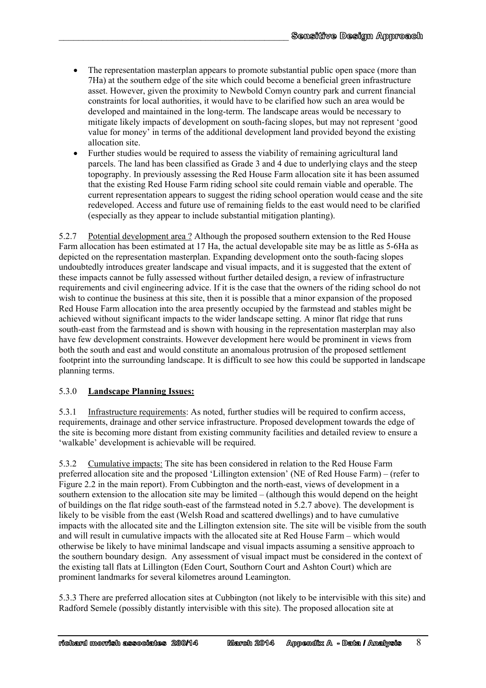• The representation masterplan appears to promote substantial public open space (more than 7Ha) at the southern edge of the site which could become a beneficial green infrastructure asset. However, given the proximity to Newbold Comyn country park and current financial constraints for local authorities, it would have to be clarified how such an area would be developed and maintained in the long-term. The landscape areas would be necessary to mitigate likely impacts of development on south-facing slopes, but may not represent 'good value for money' in terms of the additional development land provided beyond the existing allocation site.

 $\mathcal{L}_\text{max}$  and the contract of the contract of the contract of the contract of the contract of the contract of the contract of the contract of the contract of the contract of the contract of the contract of the contrac

 Further studies would be required to assess the viability of remaining agricultural land parcels. The land has been classified as Grade 3 and 4 due to underlying clays and the steep topography. In previously assessing the Red House Farm allocation site it has been assumed that the existing Red House Farm riding school site could remain viable and operable. The current representation appears to suggest the riding school operation would cease and the site redeveloped. Access and future use of remaining fields to the east would need to be clarified (especially as they appear to include substantial mitigation planting).

5.2.7 Potential development area ? Although the proposed southern extension to the Red House Farm allocation has been estimated at 17 Ha, the actual developable site may be as little as 5-6Ha as depicted on the representation masterplan. Expanding development onto the south-facing slopes undoubtedly introduces greater landscape and visual impacts, and it is suggested that the extent of these impacts cannot be fully assessed without further detailed design, a review of infrastructure requirements and civil engineering advice. If it is the case that the owners of the riding school do not wish to continue the business at this site, then it is possible that a minor expansion of the proposed Red House Farm allocation into the area presently occupied by the farmstead and stables might be achieved without significant impacts to the wider landscape setting. A minor flat ridge that runs south-east from the farmstead and is shown with housing in the representation masterplan may also have few development constraints. However development here would be prominent in views from both the south and east and would constitute an anomalous protrusion of the proposed settlement footprint into the surrounding landscape. It is difficult to see how this could be supported in landscape planning terms.

## 5.3.0 **Landscape Planning Issues:**

5.3.1 Infrastructure requirements: As noted, further studies will be required to confirm access, requirements, drainage and other service infrastructure. Proposed development towards the edge of the site is becoming more distant from existing community facilities and detailed review to ensure a 'walkable' development is achievable will be required.

5.3.2 Cumulative impacts: The site has been considered in relation to the Red House Farm preferred allocation site and the proposed 'Lillington extension' (NE of Red House Farm) – (refer to Figure 2.2 in the main report). From Cubbington and the north-east, views of development in a southern extension to the allocation site may be limited – (although this would depend on the height of buildings on the flat ridge south-east of the farmstead noted in 5.2.7 above). The development is likely to be visible from the east (Welsh Road and scattered dwellings) and to have cumulative impacts with the allocated site and the Lillington extension site. The site will be visible from the south and will result in cumulative impacts with the allocated site at Red House Farm – which would otherwise be likely to have minimal landscape and visual impacts assuming a sensitive approach to the southern boundary design. Any assessment of visual impact must be considered in the context of the existing tall flats at Lillington (Eden Court, Southorn Court and Ashton Court) which are prominent landmarks for several kilometres around Leamington.

5.3.3 There are preferred allocation sites at Cubbington (not likely to be intervisible with this site) and Radford Semele (possibly distantly intervisible with this site). The proposed allocation site at